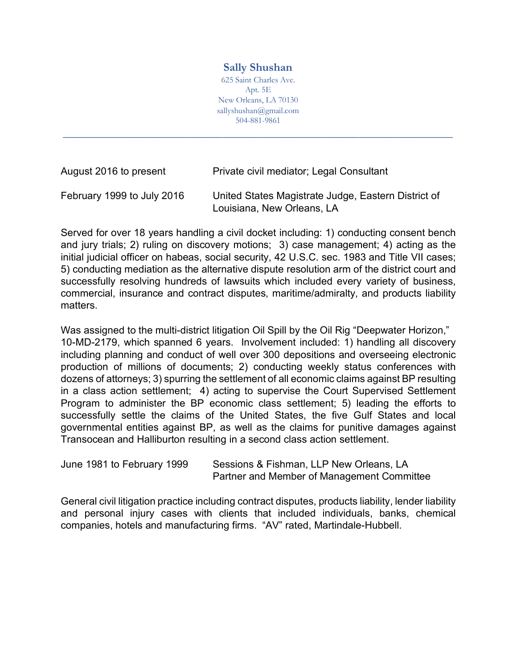## **Sally Shushan**

625 Saint Charles Ave. Apt. 5E New Orleans, LA 70130 sallyshushan@gmail.com 504-881-9861

**\_\_\_\_\_\_\_\_\_\_\_\_\_\_\_\_\_\_\_\_\_\_\_\_\_\_\_\_\_\_\_\_\_\_\_\_\_\_\_\_\_\_\_\_\_\_\_\_\_\_\_\_\_\_\_\_\_\_\_\_\_\_\_\_\_\_**

| August 2016 to present     | Private civil mediator; Legal Consultant                                          |
|----------------------------|-----------------------------------------------------------------------------------|
| February 1999 to July 2016 | United States Magistrate Judge, Eastern District of<br>Louisiana, New Orleans, LA |

Served for over 18 years handling a civil docket including: 1) conducting consent bench and jury trials; 2) ruling on discovery motions; 3) case management; 4) acting as the initial judicial officer on habeas, social security, 42 U.S.C. sec. 1983 and Title VII cases; 5) conducting mediation as the alternative dispute resolution arm of the district court and successfully resolving hundreds of lawsuits which included every variety of business, commercial, insurance and contract disputes, maritime/admiralty, and products liability matters.

Was assigned to the multi-district litigation Oil Spill by the Oil Rig "Deepwater Horizon," 10-MD-2179, which spanned 6 years. Involvement included: 1) handling all discovery including planning and conduct of well over 300 depositions and overseeing electronic production of millions of documents; 2) conducting weekly status conferences with dozens of attorneys; 3) spurring the settlement of all economic claims against BP resulting in a class action settlement; 4) acting to supervise the Court Supervised Settlement Program to administer the BP economic class settlement; 5) leading the efforts to successfully settle the claims of the United States, the five Gulf States and local governmental entities against BP, as well as the claims for punitive damages against Transocean and Halliburton resulting in a second class action settlement.

| June 1981 to February 1999 | Sessions & Fishman, LLP New Orleans, LA    |
|----------------------------|--------------------------------------------|
|                            | Partner and Member of Management Committee |

General civil litigation practice including contract disputes, products liability, lender liability and personal injury cases with clients that included individuals, banks, chemical companies, hotels and manufacturing firms. "AV" rated, Martindale-Hubbell.